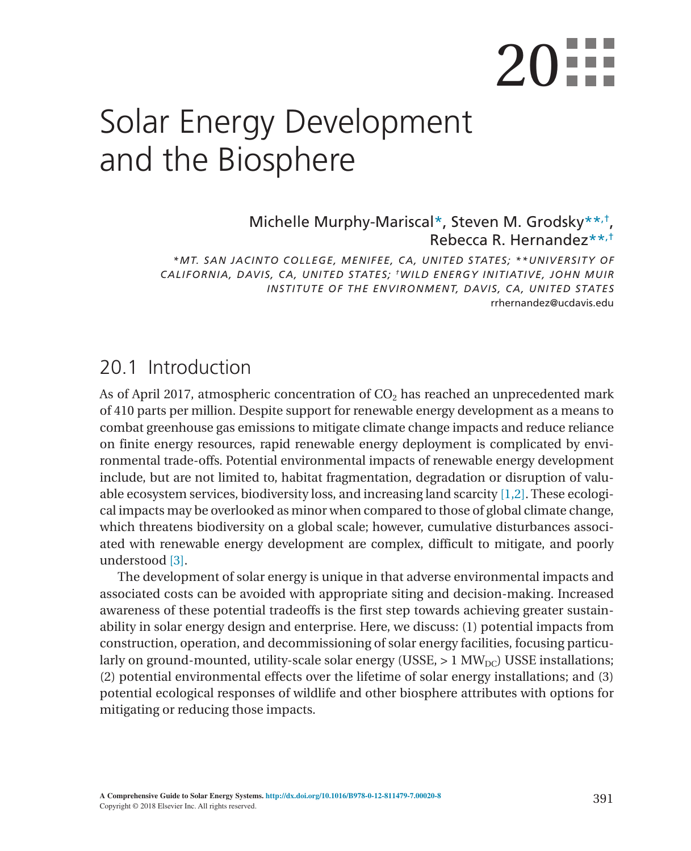# 20

# Solar Energy Development and the Biosphere

#### Michelle Murphy-Mariscal\*, Steven M. Grodsky\*\*,†, Rebecca R. Hernandez\*\*,†

*\*MT. SAN JACINTO COLLEGE, MENIFEE, CA, UNITED STATES; \*\*UNIVERSITY OF CALIFORNIA, DAVIS, CA, UNITED STATES; †WILD ENERGY INITIATIVE, JOHN MUIR INSTITUTE OF THE ENVIRONMENT, DAVIS, CA, UNITED STATES* rrhernandez@ucdavis.edu

# 20.1 Introduction

As of April 2017, atmospheric concentration of  $CO<sub>2</sub>$  has reached an unprecedented mark of 410 parts per million. Despite support for renewable energy development as a means to combat greenhouse gas emissions to mitigate climate change impacts and reduce reliance on finite energy resources, rapid renewable energy deployment is complicated by environmental trade-offs. Potential environmental impacts of renewable energy development include, but are not limited to, habitat fragmentation, degradation or disruption of valuable ecosystem services, biodiversity loss, and increasing land scarcity [1,2]. These ecological impacts may be overlooked as minor when compared to those of global climate change, which threatens biodiversity on a global scale; however, cumulative disturbances associated with renewable energy development are complex, difficult to mitigate, and poorly understood [3].

The development of solar energy is unique in that adverse environmental impacts and associated costs can be avoided with appropriate siting and decision-making. Increased awareness of these potential tradeoffs is the first step towards achieving greater sustainability in solar energy design and enterprise. Here, we discuss: (1) potential impacts from construction, operation, and decommissioning of solar energy facilities, focusing particularly on ground-mounted, utility-scale solar energy (USSE,  $> 1$  MW<sub>DC</sub>) USSE installations; (2) potential environmental effects over the lifetime of solar energy installations; and (3) potential ecological responses of wildlife and other biosphere attributes with options for mitigating or reducing those impacts.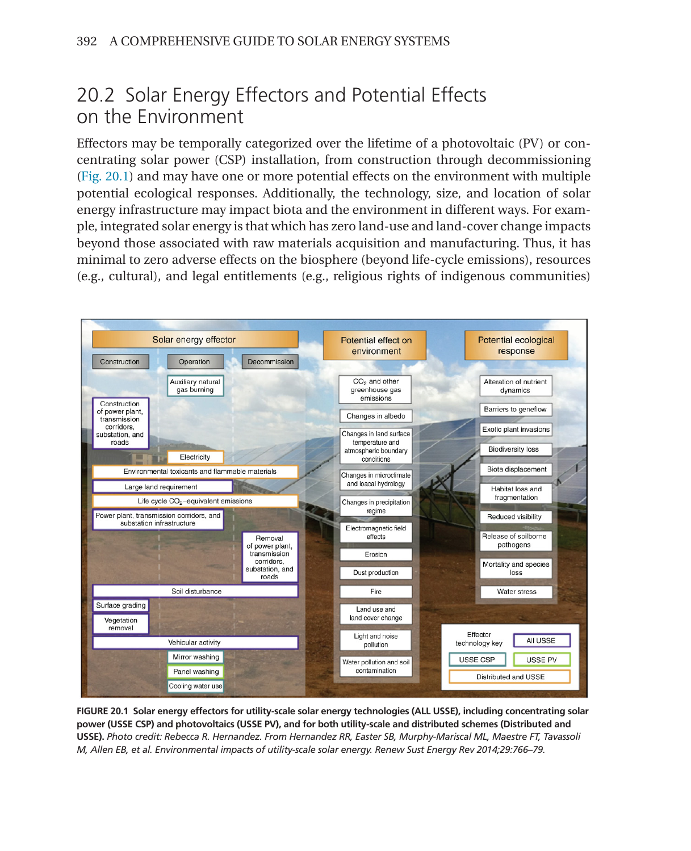# 20.2 Solar Energy Effectors and Potential Effects on the Environment

Effectors may be temporally categorized over the lifetime of a photovoltaic (PV) or concentrating solar power (CSP) installation, from construction through decommissioning (Fig. 20.1) and may have one or more potential effects on the environment with multiple potential ecological responses. Additionally, the technology, size, and location of solar energy infrastructure may impact biota and the environment in different ways. For example, integrated solar energy is that which has zero land-use and land-cover change impacts beyond those associated with raw materials acquisition and manufacturing. Thus, it has minimal to zero adverse effects on the biosphere (beyond life-cycle emissions), resources (e.g., cultural), and legal entitlements (e.g., religious rights of indigenous communities)



**FIGURE 20.1 Solar energy effectors for utility-scale solar energy technologies (ALL USSE), including concentrating solar power (USSE CSP) and photovoltaics (USSE PV), and for both utility-scale and distributed schemes (Distributed and USSE).** *Photo credit: Rebecca R. Hernandez. From Hernandez RR, Easter SB, Murphy-Mariscal ML, Maestre FT, Tavassoli M, Allen EB, et al. Environmental impacts of utility-scale solar energy. Renew Sust Energy Rev 2014;29:766–79.*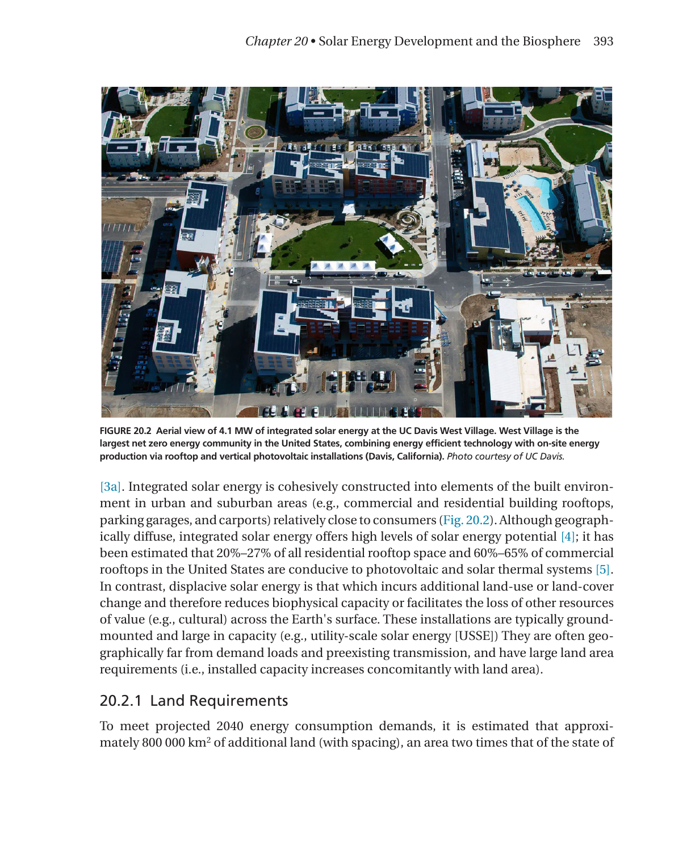

**FIGURE 20.2 Aerial view of 4.1 MW of integrated solar energy at the UC Davis West Village. West Village is the largest net zero energy community in the United States, combining energy efficient technology with on-site energy production via rooftop and vertical photovoltaic installations (Davis, California).** *Photo courtesy of UC Davis.*

[3a]. Integrated solar energy is cohesively constructed into elements of the built environment in urban and suburban areas (e.g., commercial and residential building rooftops, parking garages, and carports) relatively close to consumers (Fig. 20.2). Although geographically diffuse, integrated solar energy offers high levels of solar energy potential [4]; it has been estimated that 20%–27% of all residential rooftop space and 60%–65% of commercial rooftops in the United States are conducive to photovoltaic and solar thermal systems [5]. In contrast, displacive solar energy is that which incurs additional land-use or land-cover change and therefore reduces biophysical capacity or facilitates the loss of other resources of value (e.g., cultural) across the Earth's surface. These installations are typically groundmounted and large in capacity (e.g., utility-scale solar energy [USSE]) They are often geographically far from demand loads and preexisting transmission, and have large land area requirements (i.e., installed capacity increases concomitantly with land area).

#### 20.2.1 Land Requirements

To meet projected 2040 energy consumption demands, it is estimated that approximately 800 000 km<sup>2</sup> of additional land (with spacing), an area two times that of the state of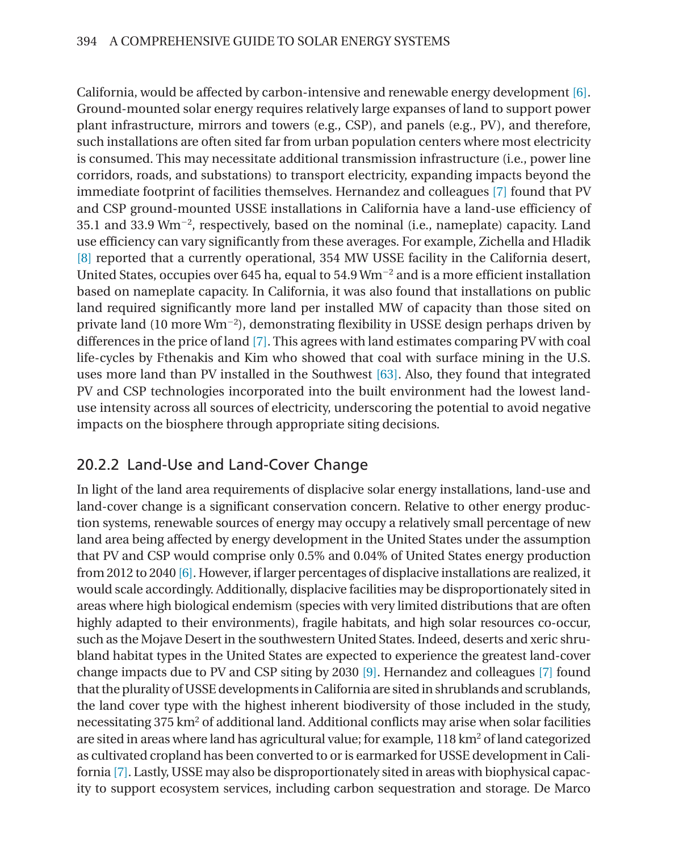California, would be affected by carbon-intensive and renewable energy development [6]. Ground-mounted solar energy requires relatively large expanses of land to support power plant infrastructure, mirrors and towers (e.g., CSP), and panels (e.g., PV), and therefore, such installations are often sited far from urban population centers where most electricity is consumed. This may necessitate additional transmission infrastructure (i.e., power line corridors, roads, and substations) to transport electricity, expanding impacts beyond the immediate footprint of facilities themselves. Hernandez and colleagues [7] found that PV and CSP ground-mounted USSE installations in California have a land-use efficiency of 35.1 and 33.9 Wm<sup>−</sup>2, respectively, based on the nominal (i.e., nameplate) capacity. Land use efficiency can vary significantly from these averages. For example, Zichella and Hladik [8] reported that a currently operational, 354 MW USSE facility in the California desert, United States, occupies over 645 ha, equal to  $54.9 \,\mathrm{Wm}^{-2}$  and is a more efficient installation based on nameplate capacity. In California, it was also found that installations on public land required significantly more land per installed MW of capacity than those sited on private land (10 more Wm<sup>−</sup>2), demonstrating flexibility in USSE design perhaps driven by differences in the price of land [7]. This agrees with land estimates comparing PV with coal life-cycles by Fthenakis and Kim who showed that coal with surface mining in the U.S. uses more land than PV installed in the Southwest [63]. Also, they found that integrated PV and CSP technologies incorporated into the built environment had the lowest landuse intensity across all sources of electricity, underscoring the potential to avoid negative impacts on the biosphere through appropriate siting decisions.

#### 20.2.2 Land-Use and Land-Cover Change

In light of the land area requirements of displacive solar energy installations, land-use and land-cover change is a significant conservation concern. Relative to other energy production systems, renewable sources of energy may occupy a relatively small percentage of new land area being affected by energy development in the United States under the assumption that PV and CSP would comprise only 0.5% and 0.04% of United States energy production from 2012 to 2040 [6]. However, if larger percentages of displacive installations are realized, it would scale accordingly. Additionally, displacive facilities may be disproportionately sited in areas where high biological endemism (species with very limited distributions that are often highly adapted to their environments), fragile habitats, and high solar resources co-occur, such as the Mojave Desert in the southwestern United States. Indeed, deserts and xeric shrubland habitat types in the United States are expected to experience the greatest land-cover change impacts due to PV and CSP siting by 2030 [9]. Hernandez and colleagues [7] found that the plurality of USSE developments in California are sited in shrublands and scrublands, the land cover type with the highest inherent biodiversity of those included in the study, necessitating 375 km<sup>2</sup> of additional land. Additional conflicts may arise when solar facilities are sited in areas where land has agricultural value; for example,  $118 \text{ km}^2$  of land categorized as cultivated cropland has been converted to or is earmarked for USSE development in California [7]. Lastly, USSE may also be disproportionately sited in areas with biophysical capacity to support ecosystem services, including carbon sequestration and storage. De Marco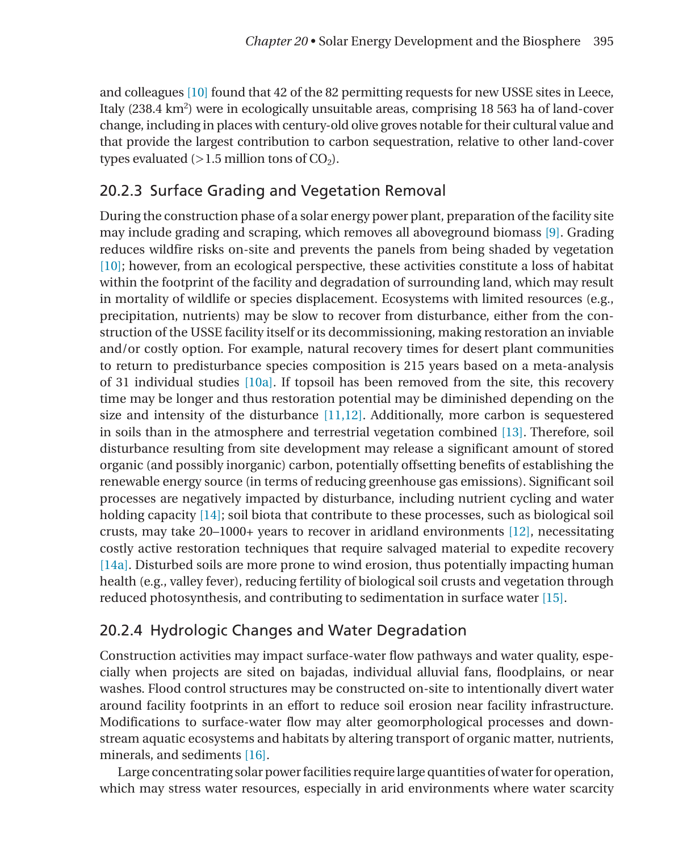and colleagues [10] found that 42 of the 82 permitting requests for new USSE sites in Leece, Italy (238.4 km2) were in ecologically unsuitable areas, comprising 18 563 ha of land-cover change, including in places with century-old olive groves notable for their cultural value and that provide the largest contribution to carbon sequestration, relative to other land-cover types evaluated  $(>1.5$  million tons of  $CO<sub>2</sub>$ ).

#### 20.2.3 Surface Grading and Vegetation Removal

During the construction phase of a solar energy power plant, preparation of the facility site may include grading and scraping, which removes all aboveground biomass [9]. Grading reduces wildfire risks on-site and prevents the panels from being shaded by vegetation [10]; however, from an ecological perspective, these activities constitute a loss of habitat within the footprint of the facility and degradation of surrounding land, which may result in mortality of wildlife or species displacement. Ecosystems with limited resources (e.g., precipitation, nutrients) may be slow to recover from disturbance, either from the construction of the USSE facility itself or its decommissioning, making restoration an inviable and/or costly option. For example, natural recovery times for desert plant communities to return to predisturbance species composition is 215 years based on a meta-analysis of 31 individual studies [10a]. If topsoil has been removed from the site, this recovery time may be longer and thus restoration potential may be diminished depending on the size and intensity of the disturbance  $[11,12]$ . Additionally, more carbon is sequestered in soils than in the atmosphere and terrestrial vegetation combined [13]. Therefore, soil disturbance resulting from site development may release a significant amount of stored organic (and possibly inorganic) carbon, potentially offsetting benefits of establishing the renewable energy source (in terms of reducing greenhouse gas emissions). Significant soil processes are negatively impacted by disturbance, including nutrient cycling and water holding capacity [14]; soil biota that contribute to these processes, such as biological soil crusts, may take 20–1000+ years to recover in aridland environments [12], necessitating costly active restoration techniques that require salvaged material to expedite recovery [14a]. Disturbed soils are more prone to wind erosion, thus potentially impacting human health (e.g., valley fever), reducing fertility of biological soil crusts and vegetation through reduced photosynthesis, and contributing to sedimentation in surface water [15].

#### 20.2.4 Hydrologic Changes and Water Degradation

Construction activities may impact surface-water flow pathways and water quality, especially when projects are sited on bajadas, individual alluvial fans, floodplains, or near washes. Flood control structures may be constructed on-site to intentionally divert water around facility footprints in an effort to reduce soil erosion near facility infrastructure. Modifications to surface-water flow may alter geomorphological processes and downstream aquatic ecosystems and habitats by altering transport of organic matter, nutrients, minerals, and sediments [16].

Large concentrating solar power facilities require large quantities of water for operation, which may stress water resources, especially in arid environments where water scarcity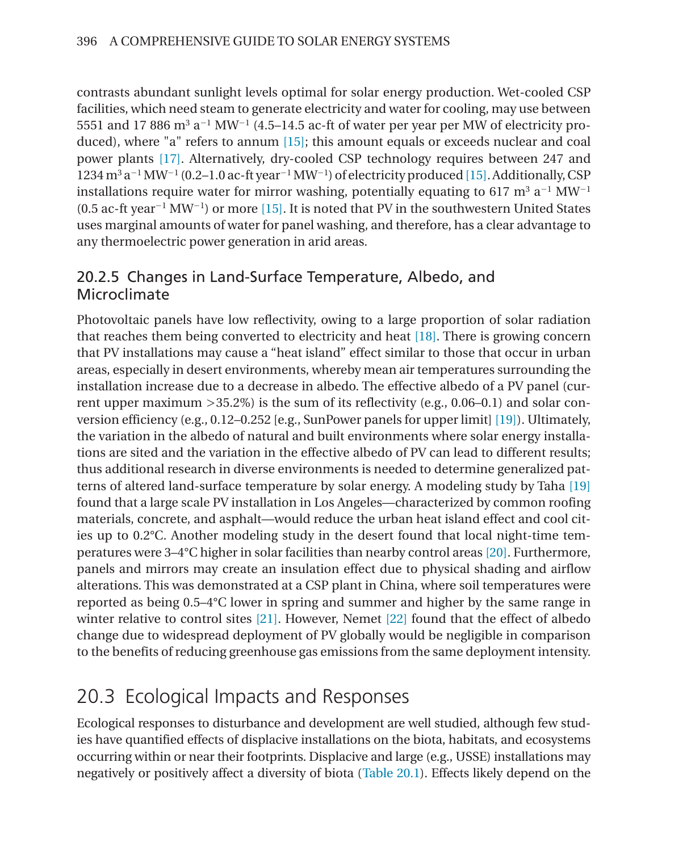contrasts abundant sunlight levels optimal for solar energy production. Wet-cooled CSP facilities, which need steam to generate electricity and water for cooling, may use between 5551 and 17 886 m<sup>3</sup> a<sup>-1</sup> MW<sup>-1</sup> (4.5–14.5 ac-ft of water per year per MW of electricity produced), where "a" refers to annum [15]; this amount equals or exceeds nuclear and coal power plants [17]. Alternatively, dry-cooled CSP technology requires between 247 and  $1234 \,\mathrm{m}^3\,\mathrm{a}^{-1}\,\mathrm{MW}^{-1}$  (0.2–1.0 ac-ft year<sup>-1</sup> MW<sup>-1</sup>) of electricity produced [15]. Additionally, CSP installations require water for mirror washing, potentially equating to 617 m<sup>3</sup> a<sup>-1</sup> MW<sup>-1</sup> (0.5 ac-ft year<sup>−</sup><sup>1</sup> MW<sup>−</sup>1) or more [15]. It is noted that PV in the southwestern United States uses marginal amounts of water for panel washing, and therefore, has a clear advantage to any thermoelectric power generation in arid areas.

#### 20.2.5 Changes in Land-Surface Temperature, Albedo, and Microclimate

Photovoltaic panels have low reflectivity, owing to a large proportion of solar radiation that reaches them being converted to electricity and heat [18]. There is growing concern that PV installations may cause a "heat island" effect similar to those that occur in urban areas, especially in desert environments, whereby mean air temperatures surrounding the installation increase due to a decrease in albedo. The effective albedo of a PV panel (current upper maximum  $>35.2\%$ ) is the sum of its reflectivity (e.g., 0.06–0.1) and solar conversion efficiency (e.g., 0.12–0.252 [e.g., SunPower panels for upper limit] [19]). Ultimately, the variation in the albedo of natural and built environments where solar energy installations are sited and the variation in the effective albedo of PV can lead to different results; thus additional research in diverse environments is needed to determine generalized patterns of altered land-surface temperature by solar energy. A modeling study by Taha [19] found that a large scale PV installation in Los Angeles—characterized by common roofing materials, concrete, and asphalt—would reduce the urban heat island effect and cool cities up to 0.2°C. Another modeling study in the desert found that local night-time temperatures were 3–4°C higher in solar facilities than nearby control areas [20]. Furthermore, panels and mirrors may create an insulation effect due to physical shading and airflow alterations. This was demonstrated at a CSP plant in China, where soil temperatures were reported as being 0.5–4°C lower in spring and summer and higher by the same range in winter relative to control sites [21]. However, Nemet [22] found that the effect of albedo change due to widespread deployment of PV globally would be negligible in comparison to the benefits of reducing greenhouse gas emissions from the same deployment intensity.

# 20.3 Ecological Impacts and Responses

Ecological responses to disturbance and development are well studied, although few studies have quantified effects of displacive installations on the biota, habitats, and ecosystems occurring within or near their footprints. Displacive and large (e.g., USSE) installations may negatively or positively affect a diversity of biota (Table 20.1). Effects likely depend on the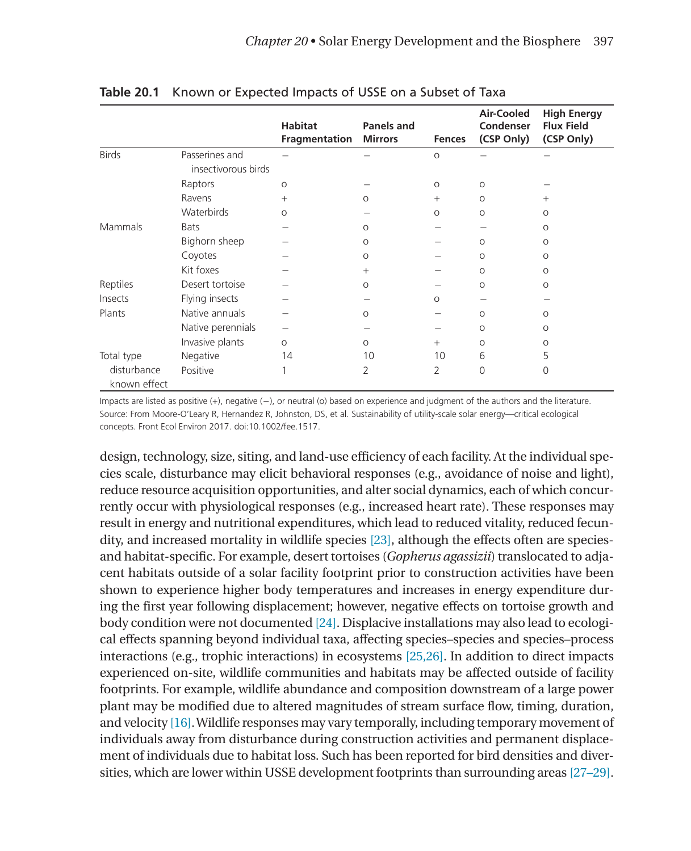|                             |                                       | <b>Habitat</b><br><b>Fragmentation</b> | Panels and<br><b>Mirrors</b> | <b>Fences</b> | Air-Cooled<br>Condenser<br>(CSP Only) | <b>High Energy</b><br><b>Flux Field</b><br>(CSP Only) |
|-----------------------------|---------------------------------------|----------------------------------------|------------------------------|---------------|---------------------------------------|-------------------------------------------------------|
| <b>Birds</b>                | Passerines and<br>insectivorous birds |                                        |                              | $\circ$       |                                       |                                                       |
|                             | Raptors                               | $\circ$                                |                              | $\circ$       | $\circ$                               |                                                       |
|                             | Ravens                                | $+$                                    | 0                            | $^{+}$        | $\circ$                               | $^{+}$                                                |
|                             | Waterbirds                            | O                                      |                              | $\circ$       | $\circ$                               | $\circ$                                               |
| Mammals                     | <b>Bats</b>                           |                                        | 0                            |               |                                       | $\circ$                                               |
|                             | Bighorn sheep                         |                                        | 0                            |               | $\circ$                               | $\circ$                                               |
|                             | Coyotes                               |                                        | $\circ$                      |               | $\circ$                               | $\Omega$                                              |
|                             | Kit foxes                             |                                        | $^{+}$                       |               | $\circ$                               | $\circ$                                               |
| Reptiles                    | Desert tortoise                       |                                        | $\Omega$                     |               | $\Omega$                              | $\Omega$                                              |
| Insects                     | Flying insects                        |                                        |                              | $\Omega$      |                                       |                                                       |
| Plants                      | Native annuals                        |                                        | $\Omega$                     |               | $\Omega$                              | $\Omega$                                              |
|                             | Native perennials                     |                                        |                              |               | $\circ$                               | $\circ$                                               |
|                             | Invasive plants                       | $\Omega$                               | $\circ$                      | $+$           | $\circ$                               | $\circ$                                               |
| Total type                  | Negative                              | 14                                     | 10                           | 10            | 6                                     | 5                                                     |
| disturbance<br>known effect | Positive                              |                                        | 2                            | 2             | 0                                     | $\Omega$                                              |

**Table 20.1** Known or Expected Impacts of USSE on a Subset of Taxa

Impacts are listed as positive (+), negative (−), or neutral (o) based on experience and judgment of the authors and the literature. Source: From Moore-O'Leary R, Hernandez R, Johnston, DS, et al. Sustainability of utility-scale solar energy—critical ecological concepts. Front Ecol Environ 2017. doi:10.1002/fee.1517.

design, technology, size, siting, and land-use efficiency of each facility. At the individual species scale, disturbance may elicit behavioral responses (e.g., avoidance of noise and light), reduce resource acquisition opportunities, and alter social dynamics, each of which concurrently occur with physiological responses (e.g., increased heart rate). These responses may result in energy and nutritional expenditures, which lead to reduced vitality, reduced fecundity, and increased mortality in wildlife species [23], although the effects often are speciesand habitat-specific. For example, desert tortoises (*Gopherus agassizii*) translocated to adjacent habitats outside of a solar facility footprint prior to construction activities have been shown to experience higher body temperatures and increases in energy expenditure during the first year following displacement; however, negative effects on tortoise growth and body condition were not documented [24]. Displacive installations may also lead to ecological effects spanning beyond individual taxa, affecting species–species and species–process interactions (e.g., trophic interactions) in ecosystems [25,26]. In addition to direct impacts experienced on-site, wildlife communities and habitats may be affected outside of facility footprints. For example, wildlife abundance and composition downstream of a large power plant may be modified due to altered magnitudes of stream surface flow, timing, duration, and velocity [16]. Wildlife responses may vary temporally, including temporary movement of individuals away from disturbance during construction activities and permanent displacement of individuals due to habitat loss. Such has been reported for bird densities and diversities, which are lower within USSE development footprints than surrounding areas [27–29].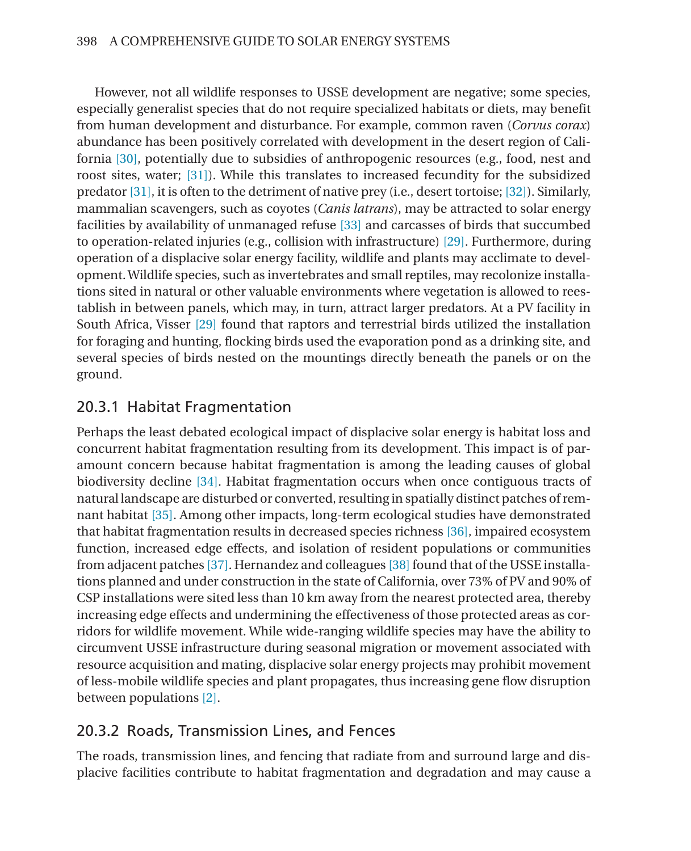However, not all wildlife responses to USSE development are negative; some species, especially generalist species that do not require specialized habitats or diets, may benefit from human development and disturbance. For example, common raven (*Corvus corax*) abundance has been positively correlated with development in the desert region of California [30], potentially due to subsidies of anthropogenic resources (e.g., food, nest and roost sites, water; [31]). While this translates to increased fecundity for the subsidized predator [31], it is often to the detriment of native prey (i.e., desert tortoise; [32]). Similarly, mammalian scavengers, such as coyotes (*Canis latrans*), may be attracted to solar energy facilities by availability of unmanaged refuse [33] and carcasses of birds that succumbed to operation-related injuries (e.g., collision with infrastructure) [29]. Furthermore, during operation of a displacive solar energy facility, wildlife and plants may acclimate to development. Wildlife species, such as invertebrates and small reptiles, may recolonize installations sited in natural or other valuable environments where vegetation is allowed to reestablish in between panels, which may, in turn, attract larger predators. At a PV facility in South Africa, Visser [29] found that raptors and terrestrial birds utilized the installation for foraging and hunting, flocking birds used the evaporation pond as a drinking site, and several species of birds nested on the mountings directly beneath the panels or on the ground.

#### 20.3.1 Habitat Fragmentation

Perhaps the least debated ecological impact of displacive solar energy is habitat loss and concurrent habitat fragmentation resulting from its development. This impact is of paramount concern because habitat fragmentation is among the leading causes of global biodiversity decline [34]. Habitat fragmentation occurs when once contiguous tracts of natural landscape are disturbed or converted, resulting in spatially distinct patches of remnant habitat [35]. Among other impacts, long-term ecological studies have demonstrated that habitat fragmentation results in decreased species richness [36], impaired ecosystem function, increased edge effects, and isolation of resident populations or communities from adjacent patches [37]. Hernandez and colleagues [38] found that of the USSE installations planned and under construction in the state of California, over 73% of PV and 90% of CSP installations were sited less than 10 km away from the nearest protected area, thereby increasing edge effects and undermining the effectiveness of those protected areas as corridors for wildlife movement. While wide-ranging wildlife species may have the ability to circumvent USSE infrastructure during seasonal migration or movement associated with resource acquisition and mating, displacive solar energy projects may prohibit movement of less-mobile wildlife species and plant propagates, thus increasing gene flow disruption between populations [2].

#### 20.3.2 Roads, Transmission Lines, and Fences

The roads, transmission lines, and fencing that radiate from and surround large and displacive facilities contribute to habitat fragmentation and degradation and may cause a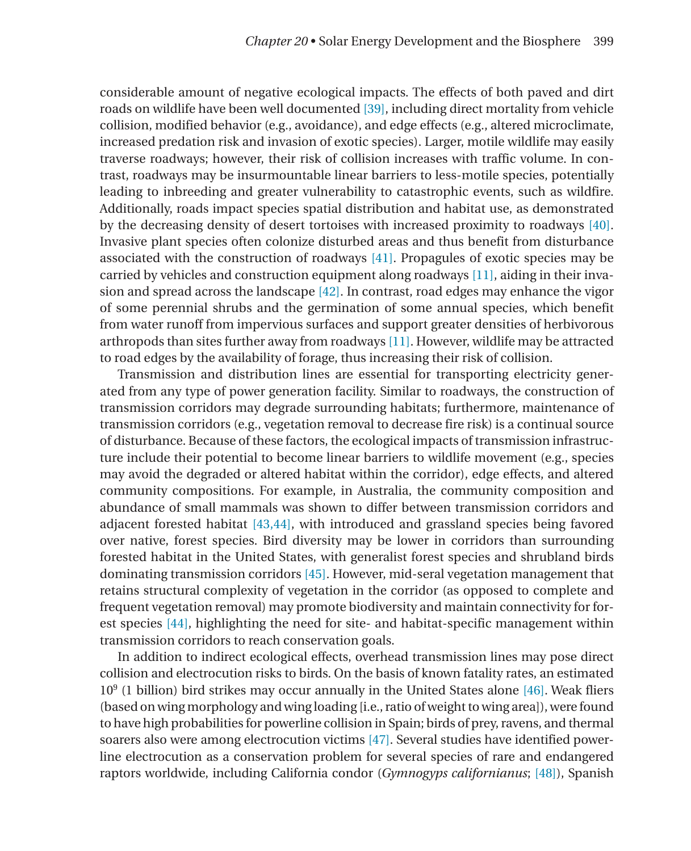considerable amount of negative ecological impacts. The effects of both paved and dirt roads on wildlife have been well documented [39], including direct mortality from vehicle collision, modified behavior (e.g., avoidance), and edge effects (e.g., altered microclimate, increased predation risk and invasion of exotic species). Larger, motile wildlife may easily traverse roadways; however, their risk of collision increases with traffic volume. In contrast, roadways may be insurmountable linear barriers to less-motile species, potentially leading to inbreeding and greater vulnerability to catastrophic events, such as wildfire. Additionally, roads impact species spatial distribution and habitat use, as demonstrated by the decreasing density of desert tortoises with increased proximity to roadways [40]. Invasive plant species often colonize disturbed areas and thus benefit from disturbance associated with the construction of roadways [41]. Propagules of exotic species may be carried by vehicles and construction equipment along roadways [11], aiding in their invasion and spread across the landscape [42]. In contrast, road edges may enhance the vigor of some perennial shrubs and the germination of some annual species, which benefit from water runoff from impervious surfaces and support greater densities of herbivorous arthropods than sites further away from roadways [11]. However, wildlife may be attracted to road edges by the availability of forage, thus increasing their risk of collision.

Transmission and distribution lines are essential for transporting electricity generated from any type of power generation facility. Similar to roadways, the construction of transmission corridors may degrade surrounding habitats; furthermore, maintenance of transmission corridors (e.g., vegetation removal to decrease fire risk) is a continual source of disturbance. Because of these factors, the ecological impacts of transmission infrastructure include their potential to become linear barriers to wildlife movement (e.g., species may avoid the degraded or altered habitat within the corridor), edge effects, and altered community compositions. For example, in Australia, the community composition and abundance of small mammals was shown to differ between transmission corridors and adjacent forested habitat [43,44], with introduced and grassland species being favored over native, forest species. Bird diversity may be lower in corridors than surrounding forested habitat in the United States, with generalist forest species and shrubland birds dominating transmission corridors [45]. However, mid-seral vegetation management that retains structural complexity of vegetation in the corridor (as opposed to complete and frequent vegetation removal) may promote biodiversity and maintain connectivity for forest species [44], highlighting the need for site- and habitat-specific management within transmission corridors to reach conservation goals.

In addition to indirect ecological effects, overhead transmission lines may pose direct collision and electrocution risks to birds. On the basis of known fatality rates, an estimated 109 (1 billion) bird strikes may occur annually in the United States alone [46]. Weak fliers (based on wing morphology and wing loading [i.e., ratio of weight to wing area]), were found to have high probabilities for powerline collision in Spain; birds of prey, ravens, and thermal soarers also were among electrocution victims [47]. Several studies have identified powerline electrocution as a conservation problem for several species of rare and endangered raptors worldwide, including California condor (*Gymnogyps californianus*; [48]), Spanish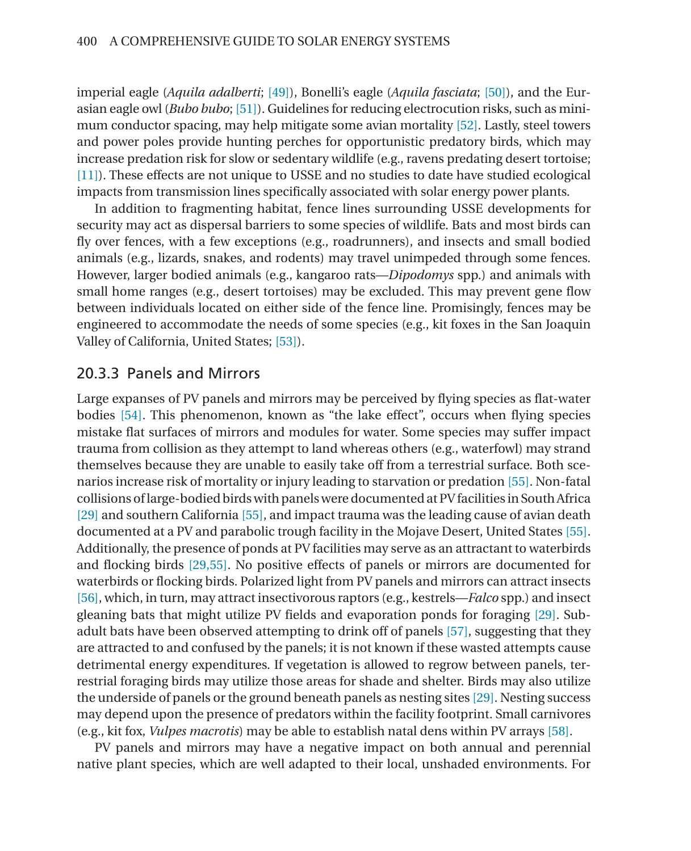imperial eagle (*Aquila adalberti*; [49]), Bonelli's eagle (*Aquila fasciata*; [50]), and the Eurasian eagle owl (*Bubo bubo*; [51]). Guidelines for reducing electrocution risks, such as minimum conductor spacing, may help mitigate some avian mortality [52]. Lastly, steel towers and power poles provide hunting perches for opportunistic predatory birds, which may increase predation risk for slow or sedentary wildlife (e.g., ravens predating desert tortoise; [11]). These effects are not unique to USSE and no studies to date have studied ecological impacts from transmission lines specifically associated with solar energy power plants.

In addition to fragmenting habitat, fence lines surrounding USSE developments for security may act as dispersal barriers to some species of wildlife. Bats and most birds can fly over fences, with a few exceptions (e.g., roadrunners), and insects and small bodied animals (e.g., lizards, snakes, and rodents) may travel unimpeded through some fences. However, larger bodied animals (e.g., kangaroo rats—*Dipodomys* spp.) and animals with small home ranges (e.g., desert tortoises) may be excluded. This may prevent gene flow between individuals located on either side of the fence line. Promisingly, fences may be engineered to accommodate the needs of some species (e.g., kit foxes in the San Joaquin Valley of California, United States; [53]).

#### 20.3.3 Panels and Mirrors

Large expanses of PV panels and mirrors may be perceived by flying species as flat-water bodies [54]. This phenomenon, known as "the lake effect", occurs when flying species mistake flat surfaces of mirrors and modules for water. Some species may suffer impact trauma from collision as they attempt to land whereas others (e.g., waterfowl) may strand themselves because they are unable to easily take off from a terrestrial surface. Both scenarios increase risk of mortality or injury leading to starvation or predation [55]. Non-fatal collisions of large-bodied birds with panels were documented at PV facilities in South Africa [29] and southern California [55], and impact trauma was the leading cause of avian death documented at a PV and parabolic trough facility in the Mojave Desert, United States [55]. Additionally, the presence of ponds at PV facilities may serve as an attractant to waterbirds and flocking birds [29,55]. No positive effects of panels or mirrors are documented for waterbirds or flocking birds. Polarized light from PV panels and mirrors can attract insects [56], which, in turn, may attract insectivorous raptors (e.g., kestrels—*Falco* spp.) and insect gleaning bats that might utilize PV fields and evaporation ponds for foraging [29]. Subadult bats have been observed attempting to drink off of panels [57], suggesting that they are attracted to and confused by the panels; it is not known if these wasted attempts cause detrimental energy expenditures. If vegetation is allowed to regrow between panels, terrestrial foraging birds may utilize those areas for shade and shelter. Birds may also utilize the underside of panels or the ground beneath panels as nesting sites [29]. Nesting success may depend upon the presence of predators within the facility footprint. Small carnivores (e.g., kit fox, *Vulpes macrotis*) may be able to establish natal dens within PV arrays [58].

PV panels and mirrors may have a negative impact on both annual and perennial native plant species, which are well adapted to their local, unshaded environments. For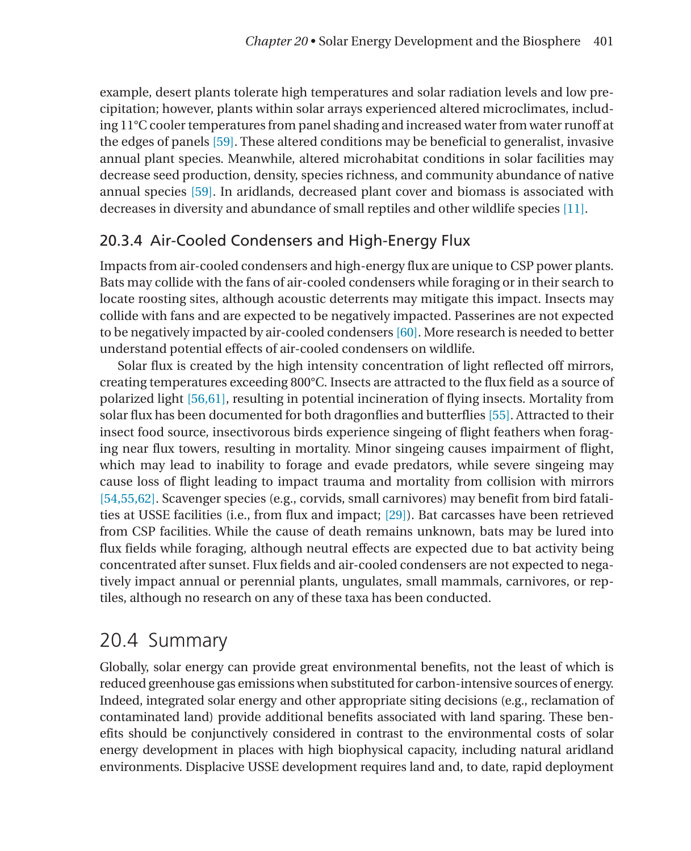example, desert plants tolerate high temperatures and solar radiation levels and low precipitation; however, plants within solar arrays experienced altered microclimates, including 11°C cooler temperatures from panel shading and increased water from water runoff at the edges of panels [59]. These altered conditions may be beneficial to generalist, invasive annual plant species. Meanwhile, altered microhabitat conditions in solar facilities may decrease seed production, density, species richness, and community abundance of native annual species [59]. In aridlands, decreased plant cover and biomass is associated with decreases in diversity and abundance of small reptiles and other wildlife species [11].

#### 20.3.4 Air-Cooled Condensers and High-Energy Flux

Impacts from air-cooled condensers and high-energy flux are unique to CSP power plants. Bats may collide with the fans of air-cooled condensers while foraging or in their search to locate roosting sites, although acoustic deterrents may mitigate this impact. Insects may collide with fans and are expected to be negatively impacted. Passerines are not expected to be negatively impacted by air-cooled condensers [60]. More research is needed to better understand potential effects of air-cooled condensers on wildlife.

Solar flux is created by the high intensity concentration of light reflected off mirrors, creating temperatures exceeding 800°C. Insects are attracted to the flux field as a source of polarized light [56,61], resulting in potential incineration of flying insects. Mortality from solar flux has been documented for both dragonflies and butterflies [55]. Attracted to their insect food source, insectivorous birds experience singeing of flight feathers when foraging near flux towers, resulting in mortality. Minor singeing causes impairment of flight, which may lead to inability to forage and evade predators, while severe singeing may cause loss of flight leading to impact trauma and mortality from collision with mirrors [54,55,62]. Scavenger species (e.g., corvids, small carnivores) may benefit from bird fatalities at USSE facilities (i.e., from flux and impact; [29]). Bat carcasses have been retrieved from CSP facilities. While the cause of death remains unknown, bats may be lured into flux fields while foraging, although neutral effects are expected due to bat activity being concentrated after sunset. Flux fields and air-cooled condensers are not expected to negatively impact annual or perennial plants, ungulates, small mammals, carnivores, or reptiles, although no research on any of these taxa has been conducted.

# 20.4 Summary

Globally, solar energy can provide great environmental benefits, not the least of which is reduced greenhouse gas emissions when substituted for carbon-intensive sources of energy. Indeed, integrated solar energy and other appropriate siting decisions (e.g., reclamation of contaminated land) provide additional benefits associated with land sparing. These benefits should be conjunctively considered in contrast to the environmental costs of solar energy development in places with high biophysical capacity, including natural aridland environments. Displacive USSE development requires land and, to date, rapid deployment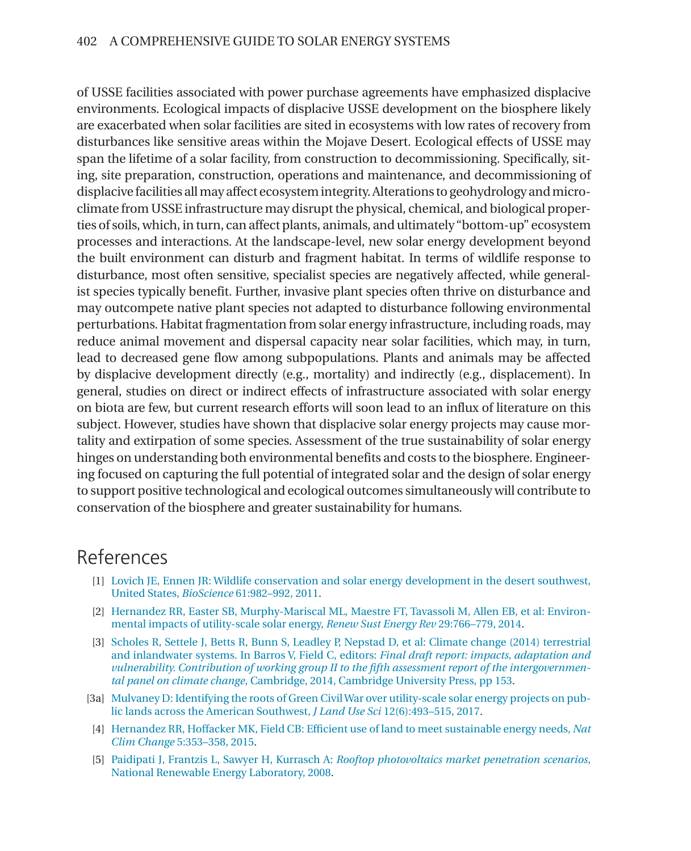of USSE facilities associated with power purchase agreements have emphasized displacive environments. Ecological impacts of displacive USSE development on the biosphere likely are exacerbated when solar facilities are sited in ecosystems with low rates of recovery from disturbances like sensitive areas within the Mojave Desert. Ecological effects of USSE may span the lifetime of a solar facility, from construction to decommissioning. Specifically, siting, site preparation, construction, operations and maintenance, and decommissioning of displacive facilities all may affect ecosystem integrity. Alterations to geohydrology and microclimate from USSE infrastructure may disrupt the physical, chemical, and biological properties of soils, which, in turn, can affect plants, animals, and ultimately "bottom-up" ecosystem processes and interactions. At the landscape-level, new solar energy development beyond the built environment can disturb and fragment habitat. In terms of wildlife response to disturbance, most often sensitive, specialist species are negatively affected, while generalist species typically benefit. Further, invasive plant species often thrive on disturbance and may outcompete native plant species not adapted to disturbance following environmental perturbations. Habitat fragmentation from solar energy infrastructure, including roads, may reduce animal movement and dispersal capacity near solar facilities, which may, in turn, lead to decreased gene flow among subpopulations. Plants and animals may be affected by displacive development directly (e.g., mortality) and indirectly (e.g., displacement). In general, studies on direct or indirect effects of infrastructure associated with solar energy on biota are few, but current research efforts will soon lead to an influx of literature on this subject. However, studies have shown that displacive solar energy projects may cause mortality and extirpation of some species. Assessment of the true sustainability of solar energy hinges on understanding both environmental benefits and costs to the biosphere. Engineering focused on capturing the full potential of integrated solar and the design of solar energy to support positive technological and ecological outcomes simultaneously will contribute to conservation of the biosphere and greater sustainability for humans.

### References

- [1] [Lovich JE, Ennen JR: Wildlife conservation and solar energy development in the desert southwest,](http://refhub.elsevier.com/B978-0-12-811479-7.00020-8/ref0010)  United States, *BioScience* [61:982–992, 2011](http://refhub.elsevier.com/B978-0-12-811479-7.00020-8/ref0010).
- [2] [Hernandez RR, Easter SB, Murphy-Mariscal ML, Maestre FT, Tavassoli M, Allen EB, et](http://refhub.elsevier.com/B978-0-12-811479-7.00020-8/ref0015) al: Environ[mental impacts of utility-scale solar energy,](http://refhub.elsevier.com/B978-0-12-811479-7.00020-8/ref0015) *Renew Sust Energy Rev* 29:766–779, 2014.
- [3] [Scholes R, Settele J, Betts R, Bunn S, Leadley P, Nepstad D, et](http://refhub.elsevier.com/B978-0-12-811479-7.00020-8/ref0020) al: Climate change (2014) terrestrial [and inlandwater systems. In Barros V, Field C, editors:](http://refhub.elsevier.com/B978-0-12-811479-7.00020-8/ref0020) *Final draft report: impacts, adaptation and [vulnerability. Contribution of working group II to the fifth assessment report of the intergovernmen](http://refhub.elsevier.com/B978-0-12-811479-7.00020-8/ref0020)tal panel on climate change*[, Cambridge, 2014, Cambridge University Press, pp 153.](http://refhub.elsevier.com/B978-0-12-811479-7.00020-8/ref0020)
- [3a] [Mulvaney D: Identifying the roots of Green Civil War over utility-scale solar energy projects on pub](http://refhub.elsevier.com/B978-0-12-811479-7.00020-8/ref7000)[lic lands across the American Southwest,](http://refhub.elsevier.com/B978-0-12-811479-7.00020-8/ref7000) *J Land Use Sci* 12(6):493–515, 2017.
- [4] [Hernandez RR, Hoffacker MK, Field CB: Efficient use of land to meet sustainable energy needs,](http://refhub.elsevier.com/B978-0-12-811479-7.00020-8/ref0025) *Nat Clim Change* [5:353–358, 2015.](http://refhub.elsevier.com/B978-0-12-811479-7.00020-8/ref0025)
- [5] Paidipati J, Frantzis L, Sawyer H, Kurrasch A: *[Rooftop photovoltaics market penetration scenarios](http://refhub.elsevier.com/B978-0-12-811479-7.00020-8/ref0030)*, [National Renewable Energy Laboratory, 2008.](http://refhub.elsevier.com/B978-0-12-811479-7.00020-8/ref0030)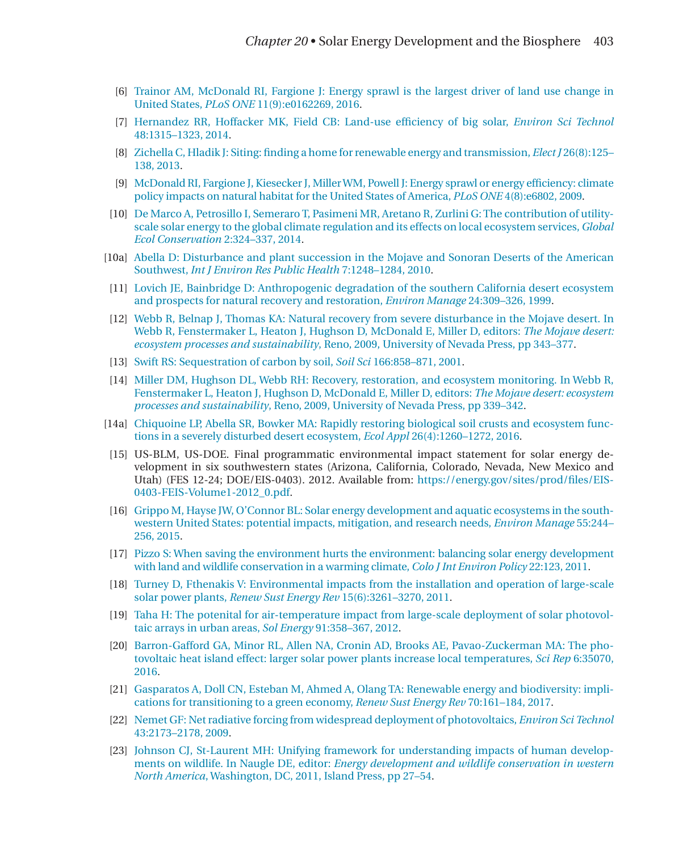- [6] [Trainor AM, McDonald RI, Fargione J: Energy sprawl is the largest driver of land use change in](http://refhub.elsevier.com/B978-0-12-811479-7.00020-8/ref0035) United States, *PLoS ONE* [11\(9\):e0162269, 2016.](http://refhub.elsevier.com/B978-0-12-811479-7.00020-8/ref0035)
- [7] [Hernandez RR, Hoffacker MK, Field CB: Land-use efficiency of big solar,](http://refhub.elsevier.com/B978-0-12-811479-7.00020-8/ref0040) *Environ Sci Technol* [48:1315–1323, 2014.](http://refhub.elsevier.com/B978-0-12-811479-7.00020-8/ref0040)
- [8] [Zichella C, Hladik J: Siting: finding a home for renewable energy and transmission,](http://refhub.elsevier.com/B978-0-12-811479-7.00020-8/ref0045) *Elect J* 26(8):125– [138, 2013.](http://refhub.elsevier.com/B978-0-12-811479-7.00020-8/ref0045)
- [9] [McDonald RI, Fargione J, Kiesecker J, Miller WM, Powell J: Energy sprawl or energy efficiency: climate](http://refhub.elsevier.com/B978-0-12-811479-7.00020-8/ref0050)  [policy impacts on natural habitat for the United States of America,](http://refhub.elsevier.com/B978-0-12-811479-7.00020-8/ref0050) *PLoS ONE* 4(8):e6802, 2009.
- [10] [De Marco A, Petrosillo I, Semeraro T, Pasimeni MR, Aretano R, Zurlini G: The contribution of utility](http://refhub.elsevier.com/B978-0-12-811479-7.00020-8/ref4455)[scale solar energy to the global climate regulation and its effects on local ecosystem services,](http://refhub.elsevier.com/B978-0-12-811479-7.00020-8/ref4455) *Global [Ecol Conservation](http://refhub.elsevier.com/B978-0-12-811479-7.00020-8/ref4455)* 2:324–337, 2014.
- [10a] [Abella D: Disturbance and plant succession in the Mojave and Sonoran Deserts of the American](http://refhub.elsevier.com/B978-0-12-811479-7.00020-8/ref5555)  Southwest, *[Int J Environ Res Public Health](http://refhub.elsevier.com/B978-0-12-811479-7.00020-8/ref5555)* 7:1248–1284, 2010.
- [11] [Lovich JE, Bainbridge D: Anthropogenic degradation of the southern California desert ecosystem](http://refhub.elsevier.com/B978-0-12-811479-7.00020-8/ref2060) [and prospects for natural recovery and restoration,](http://refhub.elsevier.com/B978-0-12-811479-7.00020-8/ref2060) *Environ Manage* 24:309–326, 1999.
- [12] [Webb R, Belnap J, Thomas KA: Natural recovery from severe disturbance in the Mojave desert. In](http://refhub.elsevier.com/B978-0-12-811479-7.00020-8/ref0060) [Webb R, Fenstermaker L, Heaton J, Hughson D, McDonald E, Miller D, editors:](http://refhub.elsevier.com/B978-0-12-811479-7.00020-8/ref0060) *The Mojave desert: ecosystem processes and sustainability*[, Reno, 2009, University of Nevada Press, pp 343–377](http://refhub.elsevier.com/B978-0-12-811479-7.00020-8/ref0060).
- [13] [Swift RS: Sequestration of carbon by soil,](http://refhub.elsevier.com/B978-0-12-811479-7.00020-8/ref0065) *Soil Sci* 166:858–871, 2001.
- [14] [Miller DM, Hughson DL, Webb RH: Recovery, restoration, and ecosystem monitoring. In Webb R,](http://refhub.elsevier.com/B978-0-12-811479-7.00020-8/ref0070)  [Fenstermaker L, Heaton J, Hughson D, McDonald E, Miller D, editors:](http://refhub.elsevier.com/B978-0-12-811479-7.00020-8/ref0070) *The Mojave desert: ecosystem processes and sustainability*[, Reno, 2009, University of Nevada Press, pp 339–342](http://refhub.elsevier.com/B978-0-12-811479-7.00020-8/ref0070).
- [14a] [Chiquoine LP, Abella SR, Bowker MA: Rapidly restoring biological soil crusts and ecosystem func](http://refhub.elsevier.com/B978-0-12-811479-7.00020-8/ref2055)[tions in a severely disturbed desert ecosystem,](http://refhub.elsevier.com/B978-0-12-811479-7.00020-8/ref2055) *Ecol Appl* 26(4):1260–1272, 2016.
- [15] US-BLM, US-DOE. Final programmatic environmental impact statement for solar energy development in six southwestern states (Arizona, California, Colorado, Nevada, New Mexico and Utah) (FES 12-24; DOE/EIS-0403). 2012. Available from: [https://energy.gov/sites/prod/files/EIS-](https://energy.gov/sites/prod/files/EIS-0403-FEIS-Volume1-2012_0.pdf)[0403-FEIS-Volume1-2012\\_0.pdf.](https://energy.gov/sites/prod/files/EIS-0403-FEIS-Volume1-2012_0.pdf)
- [16] [Grippo M, Hayse JW, O'Connor BL: Solar energy development and aquatic ecosystems in the south](http://refhub.elsevier.com/B978-0-12-811479-7.00020-8/ref0075)[western United States: potential impacts, mitigation, and research needs,](http://refhub.elsevier.com/B978-0-12-811479-7.00020-8/ref0075) *Environ Manage* 55:244– [256, 2015.](http://refhub.elsevier.com/B978-0-12-811479-7.00020-8/ref0075)
- [17] [Pizzo S: When saving the environment hurts the environment: balancing solar energy development](http://refhub.elsevier.com/B978-0-12-811479-7.00020-8/ref0080) [with land and wildlife conservation in a warming climate,](http://refhub.elsevier.com/B978-0-12-811479-7.00020-8/ref0080) *Colo J Int Environ Policy* 22:123, 2011.
- [18] [Turney D, Fthenakis V: Environmental impacts from the installation and operation of large-scale](http://refhub.elsevier.com/B978-0-12-811479-7.00020-8/ref6000) solar power plants, *Renew Sust Energy Rev* [15\(6\):3261–3270, 2011.](http://refhub.elsevier.com/B978-0-12-811479-7.00020-8/ref6000)
- [19] [Taha H: The potenital for air-temperature impact from large-scale deployment of solar photovol](http://refhub.elsevier.com/B978-0-12-811479-7.00020-8/ref0085)[taic arrays in urban areas,](http://refhub.elsevier.com/B978-0-12-811479-7.00020-8/ref0085) *Sol Energy* 91:358–367, 2012.
- [20] [Barron-Gafford GA, Minor RL, Allen NA, Cronin AD, Brooks AE, Pavao-Zuckerman MA: The pho](http://refhub.elsevier.com/B978-0-12-811479-7.00020-8/ref0090)[tovoltaic heat island effect: larger solar power plants increase local temperatures,](http://refhub.elsevier.com/B978-0-12-811479-7.00020-8/ref0090) *Sci Rep* 6:35070, [2016](http://refhub.elsevier.com/B978-0-12-811479-7.00020-8/ref0090).
- [21] [Gasparatos A, Doll CN, Esteban M, Ahmed A, Olang TA: Renewable energy and biodiversity: impli](http://refhub.elsevier.com/B978-0-12-811479-7.00020-8/ref0095)[cations for transitioning to a green economy,](http://refhub.elsevier.com/B978-0-12-811479-7.00020-8/ref0095) *Renew Sust Energy Rev* 70:161–184, 2017.
- [22] [Nemet GF: Net radiative forcing from widespread deployment of photovoltaics,](http://refhub.elsevier.com/B978-0-12-811479-7.00020-8/ref0100) *Environ Sci Technol* [43:2173–2178, 2009.](http://refhub.elsevier.com/B978-0-12-811479-7.00020-8/ref0100)
- [23] [Johnson CJ, St-Laurent MH: Unifying framework for understanding impacts of human develop](http://refhub.elsevier.com/B978-0-12-811479-7.00020-8/ref0105)ments on wildlife. In Naugle DE, editor: *[Energy development and wildlife conservation in western](http://refhub.elsevier.com/B978-0-12-811479-7.00020-8/ref0105) North America*[, Washington, DC, 2011, Island Press, pp 27–54](http://refhub.elsevier.com/B978-0-12-811479-7.00020-8/ref0105).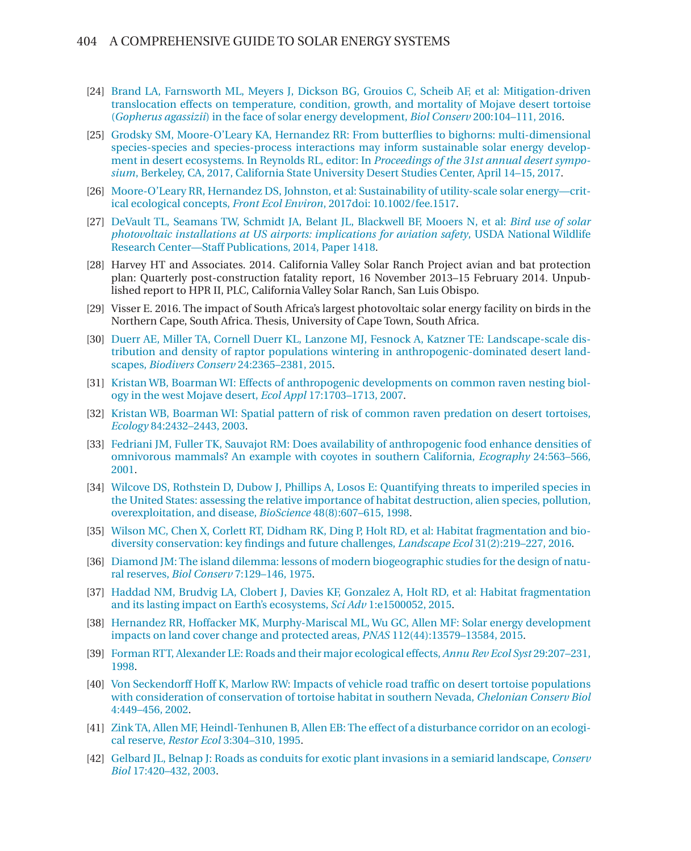- [24] [Brand LA, Farnsworth ML, Meyers J, Dickson BG, Grouios C, Scheib AF, et](http://refhub.elsevier.com/B978-0-12-811479-7.00020-8/ref0110) al: Mitigation-driven [translocation effects on temperature, condition, growth, and mortality of Mojave desert tortoise](http://refhub.elsevier.com/B978-0-12-811479-7.00020-8/ref0110)  (*Gopherus agassizii*[\) in the face of solar energy development,](http://refhub.elsevier.com/B978-0-12-811479-7.00020-8/ref0110) *Biol Conserv* 200:104–111, 2016.
- [25] Grodsky SM, Moore-O'Leary KA, Hernandez RR: From butterflies to bighorns: [multi-dimensional](http://refhub.elsevier.com/B978-0-12-811479-7.00020-8/ref0115) [species-species and species-process interactions may inform sustainable solar energy develop](http://refhub.elsevier.com/B978-0-12-811479-7.00020-8/ref0115)[ment in desert ecosystems. In Reynolds RL, editor: In](http://refhub.elsevier.com/B978-0-12-811479-7.00020-8/ref0115) *Proceedings of the 31st annual desert symposium*[, Berkeley, CA, 2017, California State University Desert Studies Center, April 14–15, 2017](http://refhub.elsevier.com/B978-0-12-811479-7.00020-8/ref0115).
- [26] Moore-O'Leary RR, Hernandez DS, Johnston, et [al: Sustainability of utility-scale solar energy—crit](http://refhub.elsevier.com/B978-0-12-811479-7.00020-8/ref0120)ical ecological concepts, *Front Ecol Environ*[, 2017doi: 10.1002/fee.1517](http://refhub.elsevier.com/B978-0-12-811479-7.00020-8/ref0120).
- [27] [DeVault TL, Seamans TW, Schmidt JA, Belant JL, Blackwell BF, Mooers N, et](http://refhub.elsevier.com/B978-0-12-811479-7.00020-8/ref0125) al: *Bird use of solar [photovoltaic installations at US airports: implications for aviation safety](http://refhub.elsevier.com/B978-0-12-811479-7.00020-8/ref0125)*, USDA National Wildlife [Research Center—Staff Publications, 2014, Paper 1418](http://refhub.elsevier.com/B978-0-12-811479-7.00020-8/ref0125).
- [28] Harvey HT and Associates. 2014. California Valley Solar Ranch Project avian and bat protection plan: Quarterly post-construction fatality report, 16 November 2013–15 February 2014. Unpublished report to HPR II, PLC, California Valley Solar Ranch, San Luis Obispo.
- [29] Visser E. 2016. The impact of South Africa's largest photovoltaic solar energy facility on birds in the Northern Cape, South Africa. Thesis, University of Cape Town, South Africa.
- [30] [Duerr AE, Miller TA, Cornell Duerr KL, Lanzone MJ, Fesnock A, Katzner TE: Landscape-scale dis](http://refhub.elsevier.com/B978-0-12-811479-7.00020-8/ref0130)[tribution and density of raptor populations wintering in anthropogenic-dominated desert land](http://refhub.elsevier.com/B978-0-12-811479-7.00020-8/ref0130)scapes, *Biodivers Conserv* [24:2365–2381, 2015.](http://refhub.elsevier.com/B978-0-12-811479-7.00020-8/ref0130)
- [31] [Kristan WB, Boarman WI: Effects of anthropogenic developments on common raven nesting biol](http://refhub.elsevier.com/B978-0-12-811479-7.00020-8/ref0135)[ogy in the west Mojave desert,](http://refhub.elsevier.com/B978-0-12-811479-7.00020-8/ref0135) *Ecol Appl* 17:1703–1713, 2007.
- [32] [Kristan WB, Boarman WI: Spatial pattern of risk of common raven predation on desert tortoises,](http://refhub.elsevier.com/B978-0-12-811479-7.00020-8/ref0140)  *Ecology* [84:2432–2443, 2003.](http://refhub.elsevier.com/B978-0-12-811479-7.00020-8/ref0140)
- [33] [Fedriani JM, Fuller TK, Sauvajot RM: Does availability of anthropogenic food enhance densities of](http://refhub.elsevier.com/B978-0-12-811479-7.00020-8/ref0145) [omnivorous mammals? An example with coyotes in southern California,](http://refhub.elsevier.com/B978-0-12-811479-7.00020-8/ref0145) *Ecography* 24:563–566, [2001](http://refhub.elsevier.com/B978-0-12-811479-7.00020-8/ref0145).
- [34] [Wilcove DS, Rothstein D, Dubow J, Phillips A, Losos E: Quantifying threats to imperiled species in](http://refhub.elsevier.com/B978-0-12-811479-7.00020-8/ref0150)  [the United States: assessing the relative importance of habitat destruction, alien species, pollution,](http://refhub.elsevier.com/B978-0-12-811479-7.00020-8/ref0150) [overexploitation, and disease,](http://refhub.elsevier.com/B978-0-12-811479-7.00020-8/ref0150) *BioScience* 48(8):607–615, 1998.
- [35] [Wilson MC, Chen X, Corlett RT, Didham RK, Ding P, Holt RD, et](http://refhub.elsevier.com/B978-0-12-811479-7.00020-8/ref0155) al: Habitat fragmentation and bio[diversity conservation: key findings and future challenges,](http://refhub.elsevier.com/B978-0-12-811479-7.00020-8/ref0155) *Landscape Ecol* 31(2):219–227, 2016.
- [36] [Diamond JM: The island dilemma: lessons of modern biogeographic studies for the design of natu](http://refhub.elsevier.com/B978-0-12-811479-7.00020-8/ref0160)ral reserves, *Biol Conserv* [7:129–146, 1975.](http://refhub.elsevier.com/B978-0-12-811479-7.00020-8/ref0160)
- [37] [Haddad NM, Brudvig LA, Clobert J, Davies KF, Gonzalez A, Holt RD, et](http://refhub.elsevier.com/B978-0-12-811479-7.00020-8/ref0165) al: Habitat fragmentation [and its lasting impact on Earth's ecosystems,](http://refhub.elsevier.com/B978-0-12-811479-7.00020-8/ref0165) *Sci Adv* 1:e1500052, 2015.
- [38] [Hernandez RR, Hoffacker MK, Murphy-Mariscal ML, Wu GC, Allen MF: Solar energy development](http://refhub.elsevier.com/B978-0-12-811479-7.00020-8/ref0170) [impacts on land cover change and protected areas,](http://refhub.elsevier.com/B978-0-12-811479-7.00020-8/ref0170) *PNAS* 112(44):13579–13584, 2015.
- [39] [Forman RTT, Alexander LE: Roads and their major ecological effects,](http://refhub.elsevier.com/B978-0-12-811479-7.00020-8/ref0175) *Annu Rev Ecol Syst* 29:207–231, [1998](http://refhub.elsevier.com/B978-0-12-811479-7.00020-8/ref0175).
- [40] [Von Seckendorff Hoff K, Marlow RW: Impacts of vehicle road traffic on desert tortoise populations](http://refhub.elsevier.com/B978-0-12-811479-7.00020-8/ref0180)  [with consideration of conservation of tortoise habitat in southern Nevada,](http://refhub.elsevier.com/B978-0-12-811479-7.00020-8/ref0180) *Chelonian Conserv Biol* [4:449–456, 2002](http://refhub.elsevier.com/B978-0-12-811479-7.00020-8/ref0180).
- [41] [Zink TA, Allen MF, Heindl-Tenhunen B, Allen EB: The effect of a disturbance corridor on an ecologi](http://refhub.elsevier.com/B978-0-12-811479-7.00020-8/ref0185)cal reserve, *Restor Ecol* [3:304–310, 1995.](http://refhub.elsevier.com/B978-0-12-811479-7.00020-8/ref0185)
- [42] [Gelbard JL, Belnap J: Roads as conduits for exotic plant invasions in a semiarid landscape,](http://refhub.elsevier.com/B978-0-12-811479-7.00020-8/ref0190) *Conserv Biol* [17:420–432, 2003.](http://refhub.elsevier.com/B978-0-12-811479-7.00020-8/ref0190)